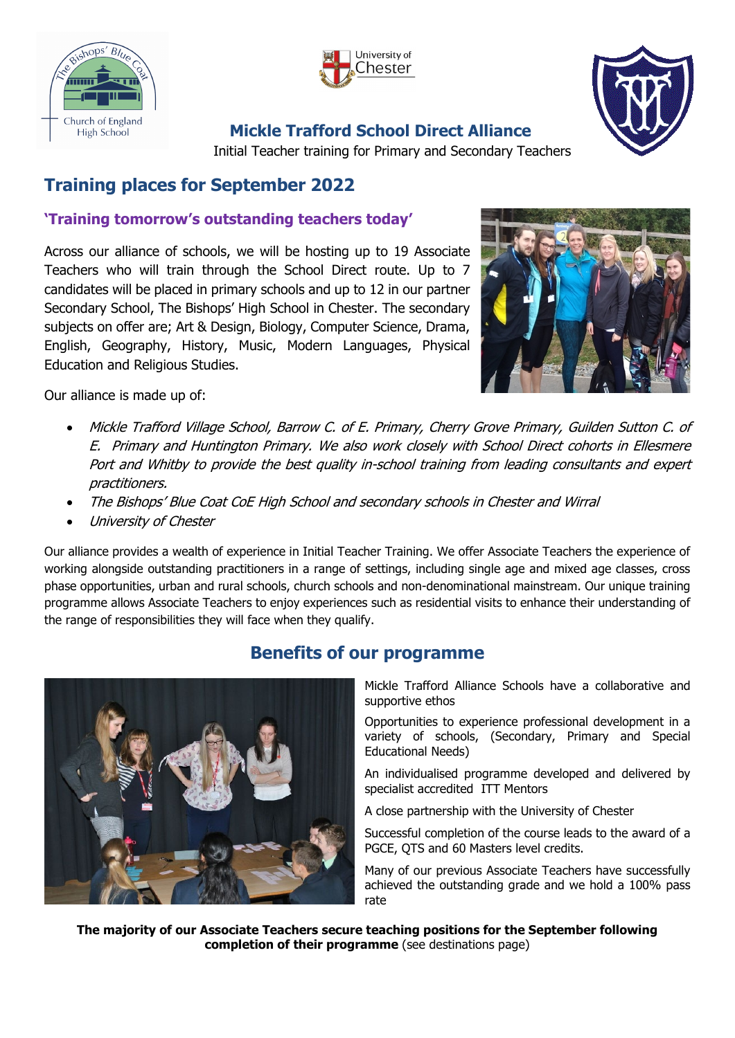



## **Mickle Trafford School Direct Alliance**



Initial Teacher training for Primary and Secondary Teachers

# **Training places for September 2022**

### **'Training tomorrow's outstanding teachers today'**

Across our alliance of schools, we will be hosting up to 19 Associate Teachers who will train through the School Direct route. Up to 7 candidates will be placed in primary schools and up to 12 in our partner Secondary School, The Bishops' High School in Chester. The secondary subjects on offer are; Art & Design, Biology, Computer Science, Drama, English, Geography, History, Music, Modern Languages, Physical Education and Religious Studies.



Our alliance is made up of:

- Mickle Trafford Village School, Barrow C. of E. Primary, Cherry Grove Primary, Guilden Sutton C. of E. Primary and Huntington Primary. We also work closely with School Direct cohorts in Ellesmere Port and Whitby to provide the best quality in-school training from leading consultants and expert practitioners.
- The Bishops' Blue Coat CoE High School and secondary schools in Chester and Wirral
- University of Chester

Our alliance provides a wealth of experience in Initial Teacher Training. We offer Associate Teachers the experience of working alongside outstanding practitioners in a range of settings, including single age and mixed age classes, cross phase opportunities, urban and rural schools, church schools and non-denominational mainstream. Our unique training programme allows Associate Teachers to enjoy experiences such as residential visits to enhance their understanding of the range of responsibilities they will face when they qualify.



## **Benefits of our programme**

Mickle Trafford Alliance Schools have a collaborative and supportive ethos

Opportunities to experience professional development in a variety of schools, (Secondary, Primary and Special Educational Needs)

An individualised programme developed and delivered by specialist accredited ITT Mentors

A close partnership with the University of Chester

Successful completion of the course leads to the award of a PGCE, QTS and 60 Masters level credits.

Many of our previous Associate Teachers have successfully achieved the outstanding grade and we hold a 100% pass rate

**The majority of our Associate Teachers secure teaching positions for the September following completion of their programme** (see destinations page)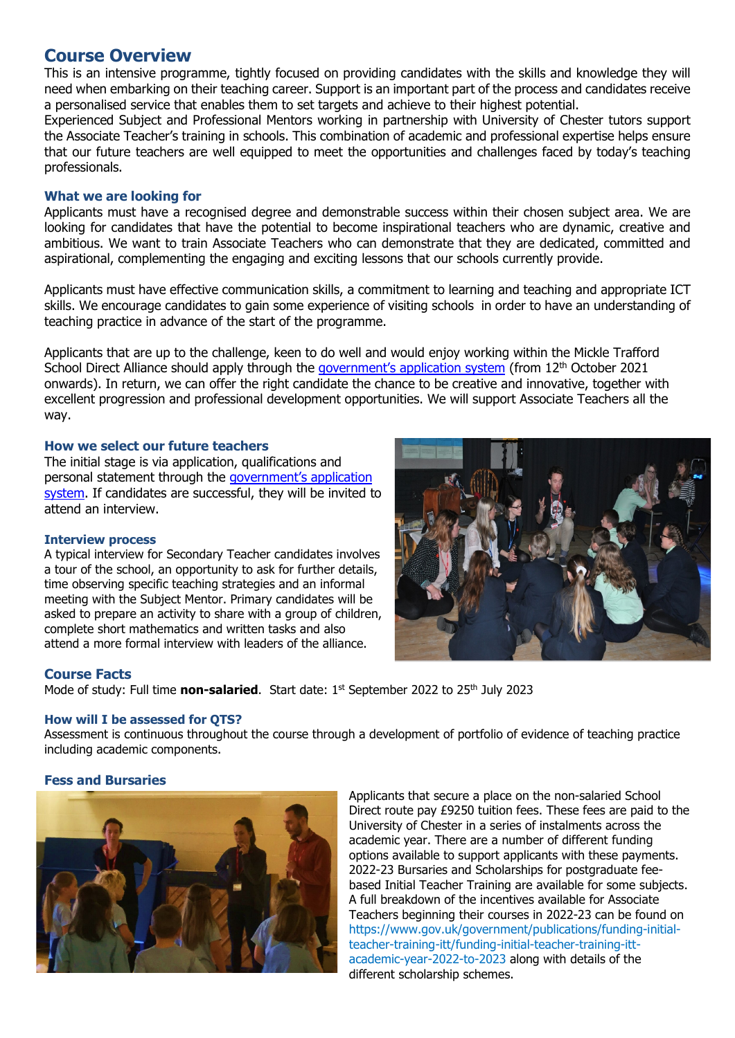### **Course Overview**

This is an intensive programme, tightly focused on providing candidates with the skills and knowledge they will need when embarking on their teaching career. Support is an important part of the process and candidates receive a personalised service that enables them to set targets and achieve to their highest potential.

Experienced Subject and Professional Mentors working in partnership with University of Chester tutors support the Associate Teacher's training in schools. This combination of academic and professional expertise helps ensure that our future teachers are well equipped to meet the opportunities and challenges faced by today's teaching professionals.

#### **What we are looking for**

Applicants must have a recognised degree and demonstrable success within their chosen subject area. We are looking for candidates that have the potential to become inspirational teachers who are dynamic, creative and ambitious. We want to train Associate Teachers who can demonstrate that they are dedicated, committed and aspirational, complementing the engaging and exciting lessons that our schools currently provide.

Applicants must have effective communication skills, a commitment to learning and teaching and appropriate ICT skills. We encourage candidates to gain some experience of visiting schools in order to have an understanding of teaching practice in advance of the start of the programme.

Applicants that are up to the challenge, keen to do well and would enjoy working within the Mickle Trafford School Direct Alliance should apply through the government's [application system](https://www.apply-for-teacher-training.service.gov.uk/candidate/application) (from 12<sup>th</sup> October 2021 onwards). In return, we can offer the right candidate the chance to be creative and innovative, together with excellent progression and professional development opportunities. We will support Associate Teachers all the way.

#### **How we select our future teachers**

The initial stage is via application, qualifications and personal statement through the government's application [system.](https://www.apply-for-teacher-training.service.gov.uk/candidate/application) If candidates are successful, they will be invited to attend an interview.

#### **Interview process**

A typical interview for Secondary Teacher candidates involves a tour of the school, an opportunity to ask for further details, time observing specific teaching strategies and an informal meeting with the Subject Mentor. Primary candidates will be asked to prepare an activity to share with a group of children, complete short mathematics and written tasks and also attend a more formal interview with leaders of the alliance.

#### **Course Facts**

Mode of study: Full time **non-salaried**. Start date: 1<sup>st</sup> September 2022 to 25<sup>th</sup> July 2023

#### **How will I be assessed for QTS?**

Assessment is continuous throughout the course through a development of portfolio of evidence of teaching practice including academic components.

#### **Fess and Bursaries**



Applicants that secure a place on the non-salaried School Direct route pay £9250 tuition fees. These fees are paid to the University of Chester in a series of instalments across the academic year. There are a number of different funding options available to support applicants with these payments. 2022-23 Bursaries and Scholarships for postgraduate feebased Initial Teacher Training are available for some subjects. A full breakdown of the incentives available for Associate Teachers beginning their courses in 2022-23 can be found on https://www.gov.uk/government/publications/funding-initialteacher-training-itt/funding-initial-teacher-training-ittacademic-year-2022-to-2023 along with details of the different scholarship schemes.

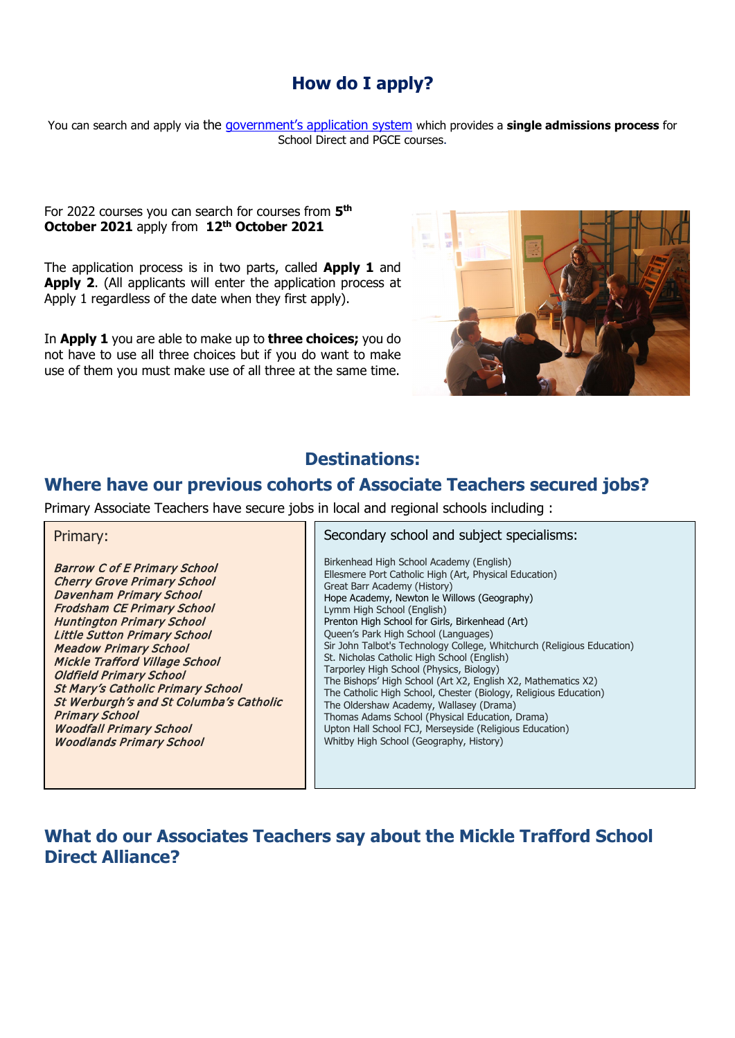## **How do I apply?**

You can search and apply via the [government's application system](https://www.apply-for-teacher-training.service.gov.uk/candidate/application) which provides a **single admissions process** for School Direct and PGCE courses.

#### For 2022 courses you can search for courses from **5th October 2021** apply from **12th October 2021**

The application process is in two parts, called **Apply 1** and **Apply 2**. (All applicants will enter the application process at Apply 1 regardless of the date when they first apply).

In **Apply 1** you are able to make up to **three choices;** you do not have to use all three choices but if you do want to make use of them you must make use of all three at the same time.



### **Destinations:**

### **Where have our previous cohorts of Associate Teachers secured jobs?**

Primary Associate Teachers have secure jobs in local and regional schools including :

| Primary:                                                                                                                                                                                                                                                                                                                                                                                                                                                                                                                    | Secondary school and subject specialisms:                                                                                                                                                                                                                                                                                                                                                                                                                                                                                                                                                                                                                                                                                                                                                                                |
|-----------------------------------------------------------------------------------------------------------------------------------------------------------------------------------------------------------------------------------------------------------------------------------------------------------------------------------------------------------------------------------------------------------------------------------------------------------------------------------------------------------------------------|--------------------------------------------------------------------------------------------------------------------------------------------------------------------------------------------------------------------------------------------------------------------------------------------------------------------------------------------------------------------------------------------------------------------------------------------------------------------------------------------------------------------------------------------------------------------------------------------------------------------------------------------------------------------------------------------------------------------------------------------------------------------------------------------------------------------------|
| <b>Barrow C of E Primary School</b><br><b>Cherry Grove Primary School</b><br><b>Davenham Primary School</b><br><b>Frodsham CE Primary School</b><br><b>Huntington Primary School</b><br><b>Little Sutton Primary School</b><br><b>Meadow Primary School</b><br><b>Mickle Trafford Village School</b><br><b>Oldfield Primary School</b><br><b>St Mary's Catholic Primary School</b><br>St Werburgh's and St Columba's Catholic<br><b>Primary School</b><br><b>Woodfall Primary School</b><br><b>Woodlands Primary School</b> | Birkenhead High School Academy (English)<br>Ellesmere Port Catholic High (Art, Physical Education)<br>Great Barr Academy (History)<br>Hope Academy, Newton le Willows (Geography)<br>Lymm High School (English)<br>Prenton High School for Girls, Birkenhead (Art)<br>Queen's Park High School (Languages)<br>Sir John Talbot's Technology College, Whitchurch (Religious Education)<br>St. Nicholas Catholic High School (English)<br>Tarporley High School (Physics, Biology)<br>The Bishops' High School (Art X2, English X2, Mathematics X2)<br>The Catholic High School, Chester (Biology, Religious Education)<br>The Oldershaw Academy, Wallasey (Drama)<br>Thomas Adams School (Physical Education, Drama)<br>Upton Hall School FCJ, Merseyside (Religious Education)<br>Whitby High School (Geography, History) |

## **What do our Associates Teachers say about the Mickle Trafford School Direct Alliance?**